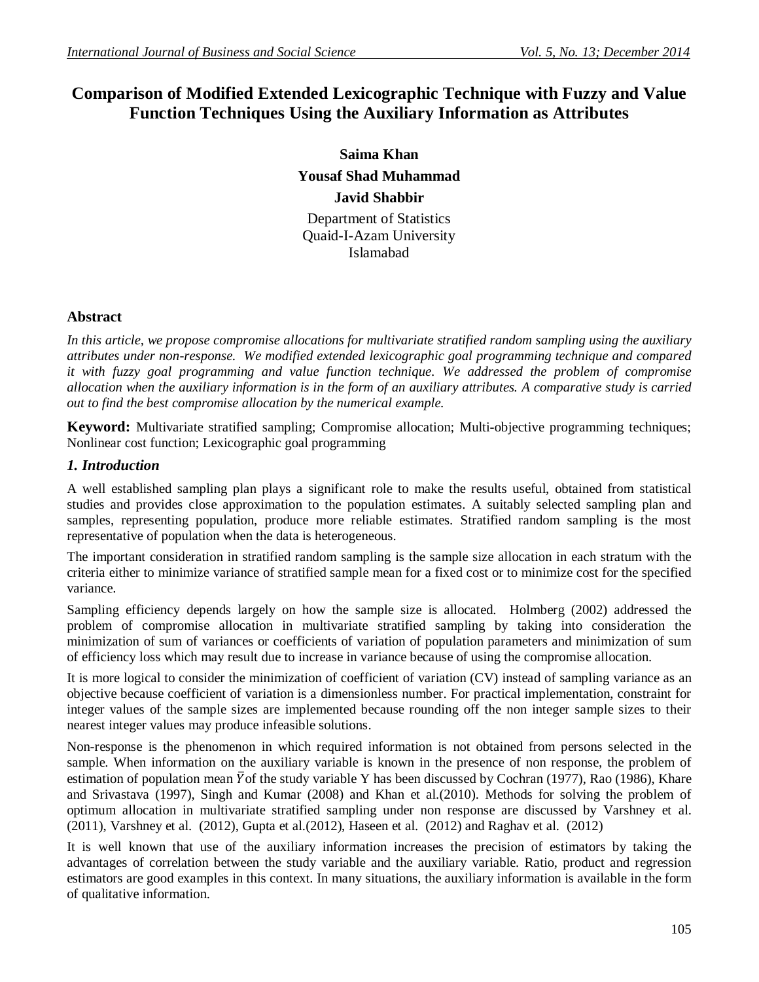# **Comparison of Modified Extended Lexicographic Technique with Fuzzy and Value Function Techniques Using the Auxiliary Information as Attributes**

**Saima Khan Yousaf Shad Muhammad Javid Shabbir** Department of Statistics

Quaid-I-Azam University Islamabad

## **Abstract**

*In this article, we propose compromise allocations for multivariate stratified random sampling using the auxiliary attributes under non-response. We modified extended lexicographic goal programming technique and compared it with fuzzy goal programming and value function technique. We addressed the problem of compromise allocation when the auxiliary information is in the form of an auxiliary attributes. A comparative study is carried out to find the best compromise allocation by the numerical example.*

**Keyword:** Multivariate stratified sampling; Compromise allocation; Multi-objective programming techniques; Nonlinear cost function; Lexicographic goal programming

# *1. Introduction*

A well established sampling plan plays a significant role to make the results useful, obtained from statistical studies and provides close approximation to the population estimates. A suitably selected sampling plan and samples, representing population, produce more reliable estimates. Stratified random sampling is the most representative of population when the data is heterogeneous.

The important consideration in stratified random sampling is the sample size allocation in each stratum with the criteria either to minimize variance of stratified sample mean for a fixed cost or to minimize cost for the specified variance.

Sampling efficiency depends largely on how the sample size is allocated. Holmberg (2002) addressed the problem of compromise allocation in multivariate stratified sampling by taking into consideration the minimization of sum of variances or coefficients of variation of population parameters and minimization of sum of efficiency loss which may result due to increase in variance because of using the compromise allocation.

It is more logical to consider the minimization of coefficient of variation (CV) instead of sampling variance as an objective because coefficient of variation is a dimensionless number. For practical implementation, constraint for integer values of the sample sizes are implemented because rounding off the non integer sample sizes to their nearest integer values may produce infeasible solutions.

Non-response is the phenomenon in which required information is not obtained from persons selected in the sample. When information on the auxiliary variable is known in the presence of non response, the problem of estimation of population mean  $\bar{Y}$  of the study variable Y has been discussed by Cochran (1977), Rao (1986), Khare and Srivastava (1997), Singh and Kumar (2008) and Khan et al.(2010). Methods for solving the problem of optimum allocation in multivariate stratified sampling under non response are discussed by Varshney et al. (2011), Varshney et al. (2012), Gupta et al.(2012), Haseen et al. (2012) and Raghav et al. (2012)

It is well known that use of the auxiliary information increases the precision of estimators by taking the advantages of correlation between the study variable and the auxiliary variable. Ratio, product and regression estimators are good examples in this context. In many situations, the auxiliary information is available in the form of qualitative information.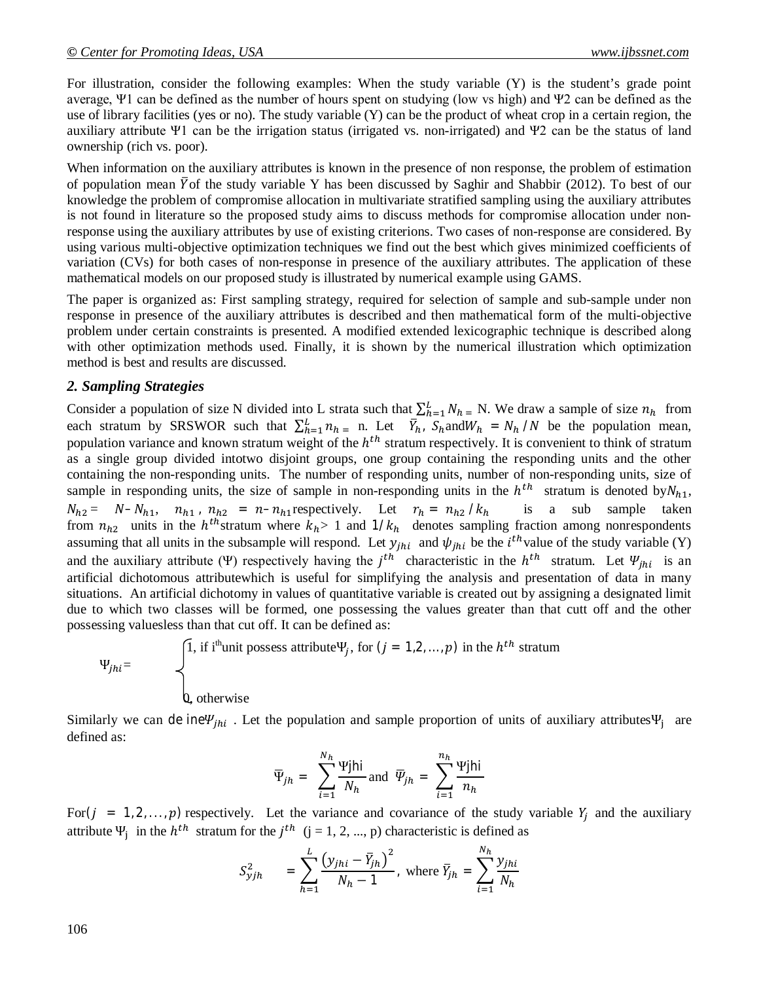For illustration, consider the following examples: When the study variable (Y) is the student's grade point average, Ψ1 can be defined as the number of hours spent on studying (low vs high) and Ψ2 can be defined as the use of library facilities (yes or no). The study variable (Y) can be the product of wheat crop in a certain region, the auxiliary attribute Ψ1 can be the irrigation status (irrigated vs. non-irrigated) and Ψ2 can be the status of land ownership (rich vs. poor).

When information on the auxiliary attributes is known in the presence of non response, the problem of estimation of population mean  $\overline{Y}$  of the study variable Y has been discussed by Saghir and Shabbir (2012). To best of our knowledge the problem of compromise allocation in multivariate stratified sampling using the auxiliary attributes is not found in literature so the proposed study aims to discuss methods for compromise allocation under nonresponse using the auxiliary attributes by use of existing criterions. Two cases of non-response are considered. By using various multi-objective optimization techniques we find out the best which gives minimized coefficients of variation (CVs) for both cases of non-response in presence of the auxiliary attributes. The application of these mathematical models on our proposed study is illustrated by numerical example using GAMS.

The paper is organized as: First sampling strategy, required for selection of sample and sub-sample under non response in presence of the auxiliary attributes is described and then mathematical form of the multi-objective problem under certain constraints is presented. A modified extended lexicographic technique is described along with other optimization methods used. Finally, it is shown by the numerical illustration which optimization method is best and results are discussed.

## *2. Sampling Strategies*

Consider a population of size N divided into L strata such that  $\sum_{h=1}^{L} N_{h} = N$ . We draw a sample of size  $n_h$  from each stratum by SRSWOR such that  $\sum_{h=1}^{L} n_{h} = n$ . Let  $\overline{Y}_{h}$ ,  $S_{h}$  and  $W_{h} = N_{h} / N$  be the population mean, population variance and known stratum weight of the  $h^{th}$  stratum respectively. It is convenient to think of stratum as a single group divided intotwo disjoint groups, one group containing the responding units and the other containing the non-responding units. The number of responding units, number of non-responding units, size of sample in responding units, the size of sample in non-responding units in the  $h^{th}$  stratum is denoted by  $N_{h1}$ ,  $N_{h2} = N - N_{h1}$ ,  $n_{h1}$ ,  $n_{h2} = n - n_{h1}$  respectively. Let  $r_h = n_{h2} / k_h$  is a sub sample taken from  $n_{h2}$  units in the  $h<sup>th</sup>$ stratum where  $k_h$ > 1 and  $1/k_h$  denotes sampling fraction among nonrespondents assuming that all units in the subsample will respond. Let  $y_{jhi}$  and  $\psi_{jhi}$  be the  $i^{th}$ value of the study variable (Y) and the auxiliary attribute (Ψ) respectively having the  $j<sup>th</sup>$  characteristic in the  $h<sup>th</sup>$  stratum. Let  $\Psi_{jhi}$  is an artificial dichotomous attributewhich is useful for simplifying the analysis and presentation of data in many situations. An artificial dichotomy in values of quantitative variable is created out by assigning a designated limit due to which two classes will be formed, one possessing the values greater than that cutt off and the other possessing valuesless than that cut off. It can be defined as:

$$
\Psi_{jhi} = \begin{cases} 1, & \text{if } i^{\text{th}} \text{unit possess attribute}}{\Psi_j, & \text{for } (j = 1, 2, \dots, p) \text{ in the } h^{th} \text{ stratum}} \\ & \text{if } i^{\text{th}} \text{unit possess attribute}} \\ 0, & \text{otherwise} \end{cases}
$$

Similarly we can de ine $\Psi_{jhi}$ . Let the population and sample proportion of units of auxiliary attributes  $\Psi_j$  are defined as:

$$
\overline{\Psi}_{jh} = \sum_{i=1}^{N_h} \frac{\Psi jhi}{N_h} \text{ and } \overline{\Psi}_{jh} = \sum_{i=1}^{n_h} \frac{\Psi jhi}{n_h}
$$

For( $j = 1, 2, ..., p$ ) respectively. Let the variance and covariance of the study variable  $Y_i$  and the auxiliary attribute  $\Psi_j$  in the  $h^{th}$  stratum for the  $j^{th}$  (j = 1, 2, ..., p) characteristic is defined as

$$
S_{yjh}^{2} = \sum_{h=1}^{L} \frac{(y_{jhi} - \bar{Y}_{jh})^{2}}{N_h - 1}, \text{ where } \bar{Y}_{jh} = \sum_{i=1}^{N_h} \frac{y_{jhi}}{N_h}
$$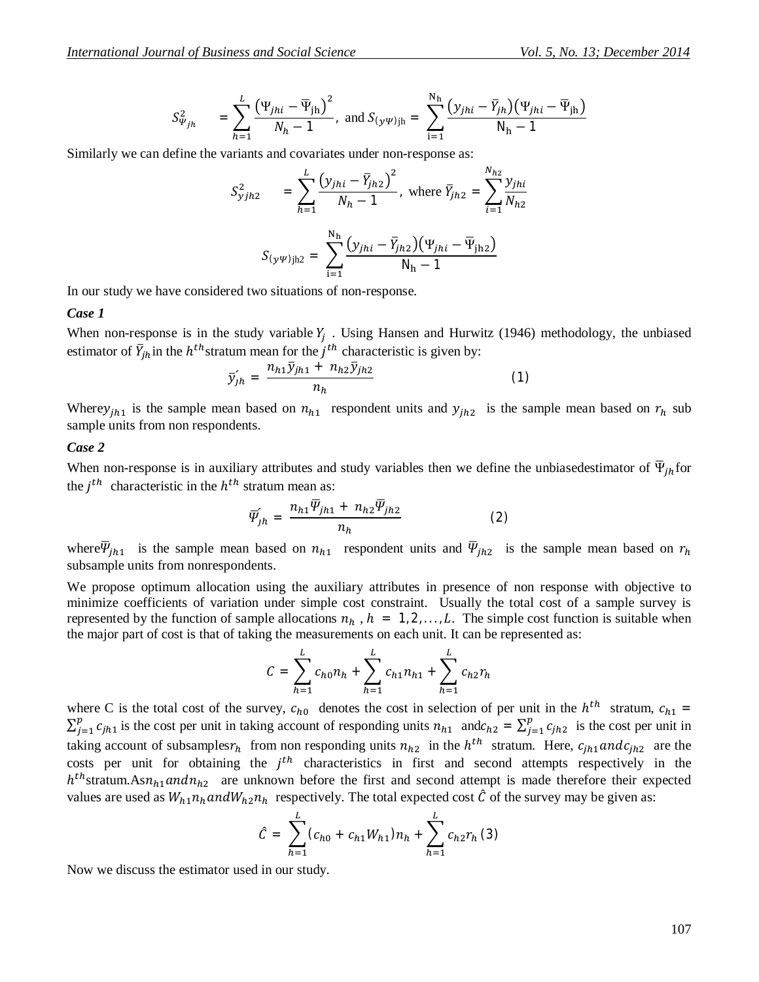$$
S_{\Psi_{jh}}^2 = \sum_{h=1}^{L} \frac{(\Psi_{jhi} - \overline{\Psi}_{jh})^2}{N_h - 1}, \text{ and } S_{(y\psi)jh} = \sum_{i=1}^{N_h} \frac{(y_{jhi} - \overline{Y}_{jh})(\Psi_{jhi} - \overline{\Psi}_{jh})}{N_h - 1}
$$

Similarly we can define the variants and covariates under non-response as:

$$
S_{yjh2}^{2} = \sum_{h=1}^{L} \frac{(y_{jhi} - \bar{Y}_{jh2})^{2}}{N_h - 1}, \text{ where } \bar{Y}_{jh2} = \sum_{i=1}^{N_{h2}} \frac{y_{jhi}}{N_{h2}}
$$

$$
S_{(y\psi)jh2} = \sum_{i=1}^{N_h} \frac{(y_{jhi} - \bar{Y}_{jh2})(\Psi_{jhi} - \bar{\Psi}_{jh2})}{N_h - 1}
$$

In our study we have considered two situations of non-response.

#### *Case 1*

When non-response is in the study variable  $Y_j$ . Using Hansen and Hurwitz (1946) methodology, the unbiased estimator of  $\bar{Y}_{jh}$  in the  $h^{th}$ stratum mean for the  $j^{th}$  characteristic is given by:

$$
\bar{y}_{jh} = \frac{n_{h1}\bar{y}_{jh1} + n_{h2}\bar{y}_{jh2}}{n_h} \tag{1}
$$

Where  $y_{ih1}$  is the sample mean based on  $n_{h1}$  respondent units and  $y_{ih2}$  is the sample mean based on  $r_h$  sub sample units from non respondents.

#### *Case 2*

When non-response is in auxiliary attributes and study variables then we define the unbiasedestimator of  $\overline{\Psi}_{ih}$  for the  $j^{th}$  characteristic in the  $h^{th}$  stratum mean as:

$$
\overline{\Psi}_{jh} = \frac{n_{h1}\overline{\Psi}_{jh1} + n_{h2}\overline{\Psi}_{jh2}}{n_h} \tag{2}
$$

where  $\overline{\Psi}_{jh1}$  is the sample mean based on  $n_{h1}$  respondent units and  $\overline{\Psi}_{jh2}$  is the sample mean based on  $r_h$ subsample units from nonrespondents.

We propose optimum allocation using the auxiliary attributes in presence of non response with objective to minimize coefficients of variation under simple cost constraint. Usually the total cost of a sample survey is represented by the function of sample allocations  $n_h$ ,  $h = 1, 2, \ldots, L$ . The simple cost function is suitable when the major part of cost is that of taking the measurements on each unit. It can be represented as:

$$
C = \sum_{h=1}^{L} c_{h0} n_h + \sum_{h=1}^{L} c_{h1} n_{h1} + \sum_{h=1}^{L} c_{h2} r_h
$$

where C is the total cost of the survey,  $c_{h0}$  denotes the cost in selection of per unit in the  $h^{th}$  stratum,  $c_{h1}$  =  $\sum_{j=1}^p c_{jh1}$  $j=1$   $c_{jh1}$  is the cost per unit in taking account of responding units  $n_{h1}$  and $c_{h2} = \sum_{j=1}^{p} c_{jh2}$  $\int_{j=1}^{p} c_{jh2}$  is the cost per unit in taking account of subsamples $r_h$  from non responding units  $n_{h2}$  in the  $h^{th}$  stratum. Here,  $c_{jh1}$  and  $c_{jh2}$  are the costs per unit for obtaining the  $j<sup>th</sup>$  characteristics in first and second attempts respectively in the  $h^{th}$ stratum.As $n_{h1}$  and  $n_{h2}$  are unknown before the first and second attempt is made therefore their expected values are used as  $W_{h1}n_{h}$  and  $W_{h2}n_{h}$  respectively. The total expected cost  $\hat{C}$  of the survey may be given as:

$$
\hat{C} = \sum_{h=1}^{L} (c_{h0} + c_{h1}W_{h1})n_h + \sum_{h=1}^{L} c_{h2}r_h \tag{3}
$$

Now we discuss the estimator used in our study.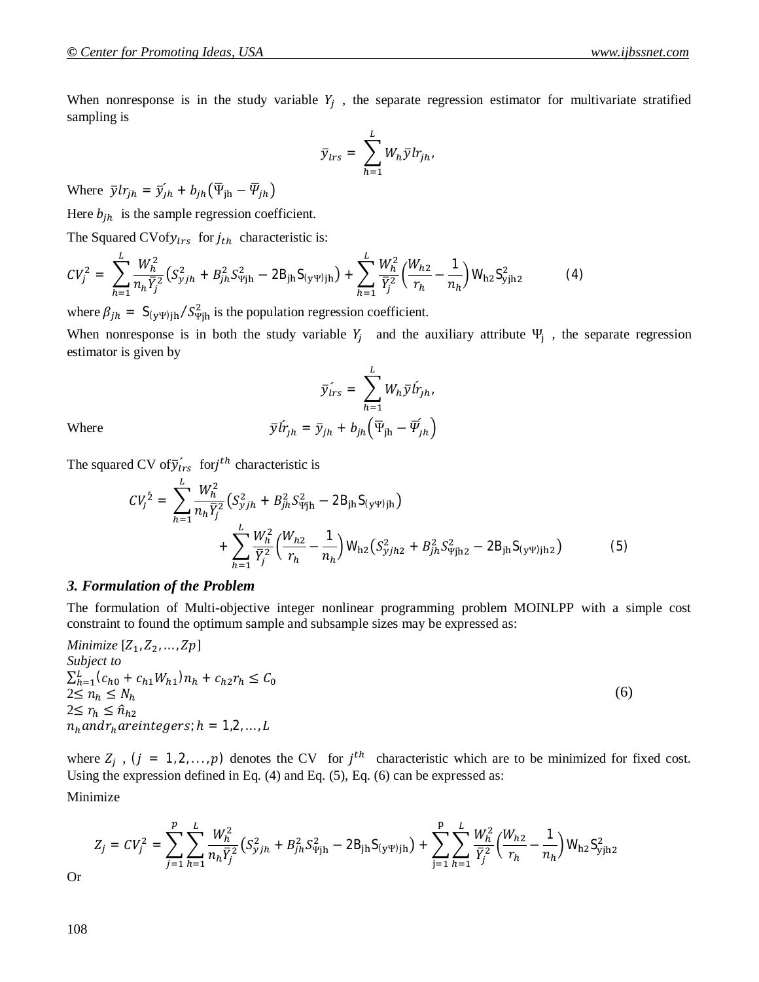When nonresponse is in the study variable  $Y_j$ , the separate regression estimator for multivariate stratified sampling is

$$
\bar{y}_{lrs} = \sum_{h=1}^{L} W_h \bar{y} l r_{jh}.
$$

Where  $\bar{y}lr_{jh} = \bar{y}_{jh} + b_{jh}(\bar{\Psi}_{jh} - \bar{\Psi}_{jh})$ 

Here  $b_{ih}$  is the sample regression coefficient.

The Squared CVof $y_{lrs}$  for  $j_{th}$  characteristic is:

$$
CV_j^2 = \sum_{h=1}^L \frac{W_h^2}{n_h \bar{Y}_j^2} \left( S_{yjh}^2 + B_{jh}^2 S_{\Psi jh}^2 - 2B_{jh} S_{(y\Psi)jh} \right) + \sum_{h=1}^L \frac{W_h^2}{\bar{Y}_j^2} \left( \frac{W_{h2}}{r_h} - \frac{1}{n_h} \right) W_{h2} S_{yjh2}^2 \tag{4}
$$

where  $\beta_{jh} = S_{(y\Psi)jh} / S_{\Psi jh}^2$  is the population regression coefficient.

When nonresponse is in both the study variable  $Y_j$  and the auxiliary attribute  $\Psi_j$ , the separate regression estimator is given by

$$
\bar{y}_{irs} = \sum_{h=1}^{L} W_h \bar{y} \hat{i}_{fh},
$$

$$
\hat{r}_{jh} = \bar{y}_{jh} + b_{jh} \left(\overline{\Psi}_{jh} - \overline{\Psi}_{jh}\right)
$$

Where  $\bar{v}l$ 

The squared CV of  $\tilde{y}_{lrs}$  for j<sup>th</sup> characteristic is

$$
CV_j^2 = \sum_{h=1}^{L} \frac{W_h^2}{n_h \bar{Y}_j^2} \left( S_{yjh}^2 + B_{jh}^2 S_{\Psi jh}^2 - 2B_{jh} S_{(y\Psi)jh} \right) + \sum_{h=1}^{L} \frac{W_h^2}{\bar{Y}_j^2} \left( \frac{W_{h2}}{r_h} - \frac{1}{n_h} \right) W_{h2} \left( S_{yjh2}^2 + B_{jh}^2 S_{\Psi jh2}^2 - 2B_{jh} S_{(y\Psi)jh2} \right)
$$
(5)

## *3. Formulation of the Problem*

The formulation of Multi-objective integer nonlinear programming problem MOINLPP with a simple cost constraint to found the optimum sample and subsample sizes may be expressed as:

*Minimize*  $[Z_1, Z_2, ..., Z_p]$ *Subject to*  $\sum_{h=1}^{L} (c_{h0} + c_{h1}W_{h1}) n_h + c_{h2}r_h \leq C_0$  $2 \leq n_h \leq N_h$  $2 \leq r_h \leq \hat{n}_{h2}$  $n_h and r_h are integers;  $h = 1,2,\ldots,L$$ (6)

where  $Z_j$ ,  $(j = 1, 2, ..., p)$  denotes the CV for  $j<sup>th</sup>$  characteristic which are to be minimized for fixed cost. Using the expression defined in Eq. (4) and Eq. (5), Eq. (6) can be expressed as: Minimize

$$
Z_j = CV_j^2 = \sum_{j=1}^p \sum_{h=1}^L \frac{W_h^2}{n_h \overline{Y}_j^2} \left( S_{yjh}^2 + B_{jh}^2 S_{\Psi jh}^2 - 2B_{jh} S_{(y\Psi)jh} \right) + \sum_{j=1}^p \sum_{h=1}^L \frac{W_h^2}{\overline{Y}_j^2} \left( \frac{W_{h2}}{r_h} - \frac{1}{n_h} \right) W_{h2} S_{yjh2}^2
$$

Or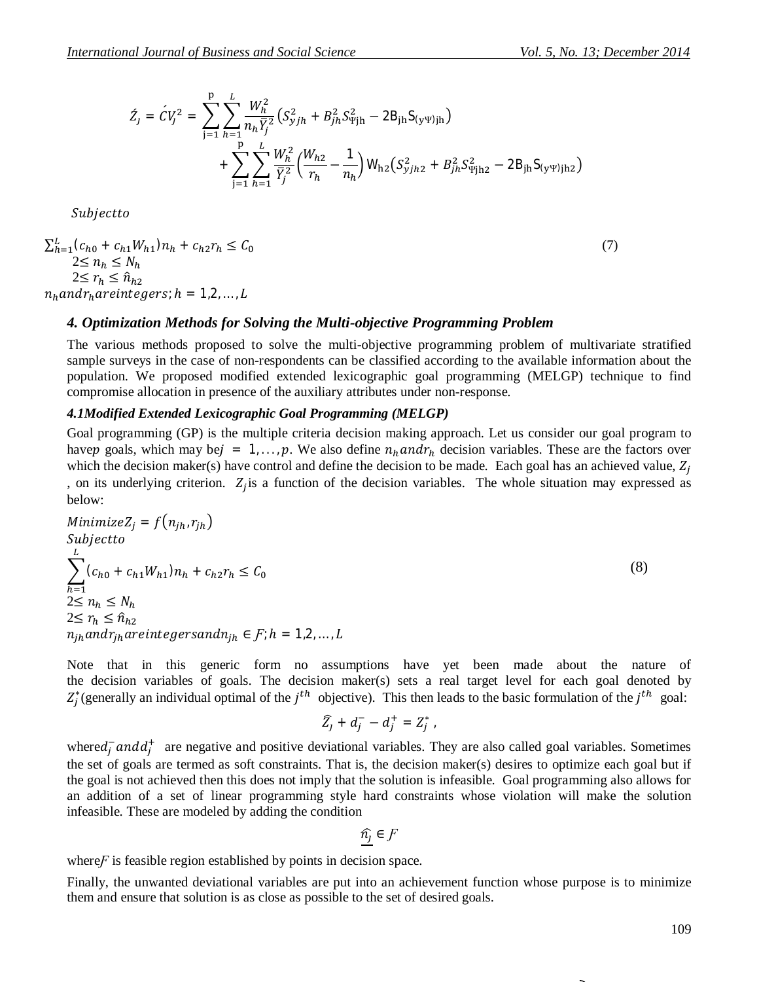$$
\begin{split} \acute{Z}_{j}=\acute{C}V_{j}^{2}=\sum_{\mathfrak{j}=1}^{p}\sum_{h=1}^{L}\frac{W_{h}^{2}}{n_{h}\bar{Y}_{j}^{2}}\left(S_{yjh}^{2}+B_{jh}^{2}S_{\Psi]\mathfrak{h}}^{2}-2\mathsf{B}_{\mathfrak{j}\mathfrak{h}}\mathsf{S}_{(\mathsf{y}\Psi)\mathfrak{j}\mathfrak{h}}\right) \\+\sum_{\mathfrak{j}=1}^{p}\sum_{h=1}^{L}\frac{W_{h}^{2}}{\bar{Y}_{j}^{2}}\left(\frac{W_{h2}}{r_{h}}-\frac{1}{n_{h}}\right)\mathsf{W}_{\mathfrak{h}2}\left(S_{yjh2}^{2}+B_{jh}^{2}S_{\Psi]\mathfrak{h}2}^{2}-2\mathsf{B}_{\mathfrak{j}\mathfrak{h}}\mathsf{S}_{(\mathsf{y}\Psi)\mathfrak{j}\mathfrak{h}2}\right) \end{split}
$$

Subjectto

$$
\sum_{h=1}^{L} (c_{h0} + c_{h1}W_{h1})n_h + c_{h2}r_h \le C_0
$$
  
\n
$$
2 \le n_h \le N_h
$$
  
\n
$$
2 \le r_h \le \hat{n}_{h2}
$$
  
\n
$$
n_h and r_h are integers; h = 1, 2, ..., L
$$
 (7)

## *4. Optimization Methods for Solving the Multi-objective Programming Problem*

The various methods proposed to solve the multi-objective programming problem of multivariate stratified sample surveys in the case of non-respondents can be classified according to the available information about the population. We proposed modified extended lexicographic goal programming (MELGP) technique to find compromise allocation in presence of the auxiliary attributes under non-response.

### *4.1Modified Extended Lexicographic Goal Programming (MELGP)*

Goal programming (GP) is the multiple criteria decision making approach. Let us consider our goal program to have goals, which may bej = 1, ..., p. We also define  $n_h$  and  $r_h$  decision variables. These are the factors over which the decision maker(s) have control and define the decision to be made. Each goal has an achieved value,  $Z_i$ , on its underlying criterion.  $Z_j$  is a function of the decision variables. The whole situation may expressed as below:

Minimize
$$
Z_j = f(n_{jh}, r_{jh})
$$
  
\nSubject  
\n
$$
\sum_{h=1}^{L} (c_{h0} + c_{h1}W_{h1})n_h + c_{h2}r_h \le C_0
$$
\n
$$
2 \le n_h \le N_h
$$
\n
$$
2 \le r_h \le \hat{n}_{h2}
$$
\n
$$
n_{jh} and r_{jh} are integrand n_{jh} \in F; h = 1, 2, ..., L
$$
\n(8)

Note that in this generic form no assumptions have yet been made about the nature of the decision variables of goals. The decision maker(s) sets a real target level for each goal denoted by  $Z_j^*$  (generally an individual optimal of the  $j^{th}$  objective). This then leads to the basic formulation of the  $j^{th}$  goal:

$$
\widehat{Z}_j + d_j^- - d_j^+ = Z_j^* \; .
$$

where  $d_j^-$  and  $d_j^+$  are negative and positive deviational variables. They are also called goal variables. Sometimes the set of goals are termed as soft constraints. That is, the decision maker(s) desires to optimize each goal but if the goal is not achieved then this does not imply that the solution is infeasible. Goal programming also allows for an addition of a set of linear programming style hard constraints whose violation will make the solution infeasible. These are modeled by adding the condition

$$
\widehat{n_j}\in\mathcal{F}
$$

where *F* is feasible region established by points in decision space.

Finally, the unwanted deviational variables are put into an achievement function whose purpose is to minimize them and ensure that solution is as close as possible to the set of desired goals.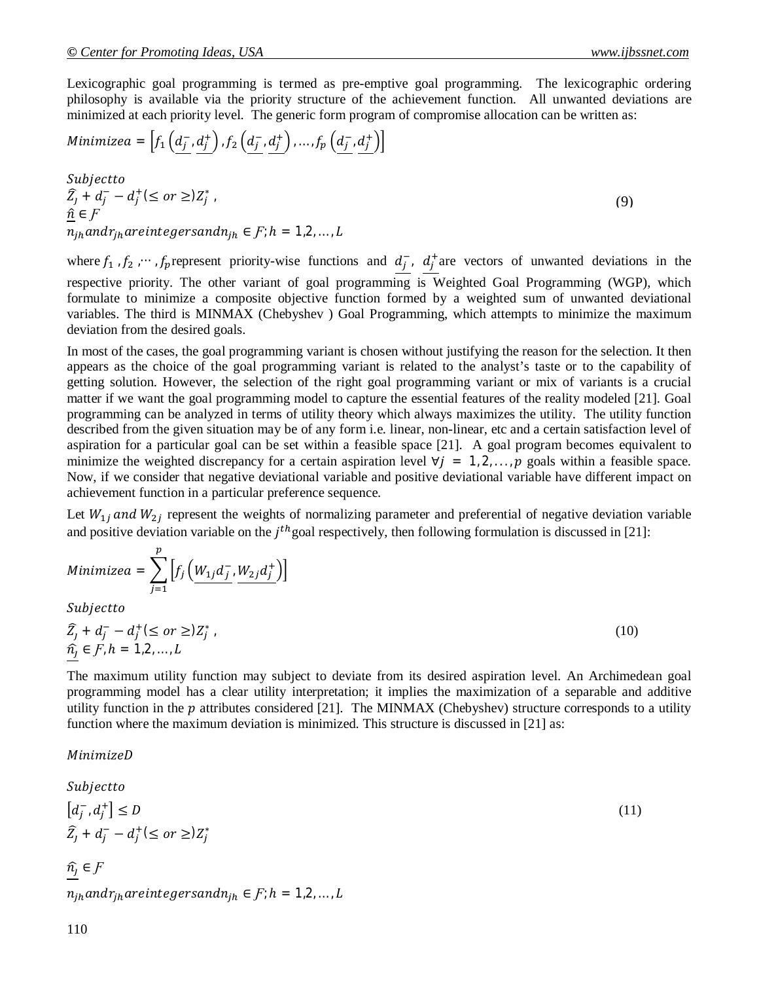(9)

Lexicographic goal programming is termed as pre-emptive goal programming. The lexicographic ordering philosophy is available via the priority structure of the achievement function. All unwanted deviations are minimized at each priority level. The generic form program of compromise allocation can be written as:

Minimize 
$$
a = \left[ f_1\left(\underbrace{d_j^{-1}}, \underbrace{d_j^{+}}\right), f_2\left(\underbrace{d_j^{-1}}, \underbrace{d_j^{+}}\right), \dots, f_p\left(\underbrace{d_j^{-1}}, \underbrace{d_j^{+}}\right) \right]
$$

Subjectto  $\widehat{Z}_j + d_j^- - d_j^+ (\leq \sigma r \geq) Z_j^*$ ,  $\hat{n} \in F$  $\overline{n}_{ih}$  and  $r_{ih}$  are integers and  $n_{ih} \in F$ ;  $h = 1,2,...,L$ 

where  $f_1$ ,  $f_2$ ,  $\cdots$ ,  $f_p$  represent priority-wise functions and  $d_j$ ,  $d_j$  are vectors of unwanted deviations in the respective priority. The other variant of goal programming is Weighted Goal Programming (WGP), which formulate to minimize a composite objective function formed by a weighted sum of unwanted deviational variables. The third is MINMAX (Chebyshev ) Goal Programming, which attempts to minimize the maximum deviation from the desired goals.

In most of the cases, the goal programming variant is chosen without justifying the reason for the selection. It then appears as the choice of the goal programming variant is related to the analyst's taste or to the capability of getting solution. However, the selection of the right goal programming variant or mix of variants is a crucial matter if we want the goal programming model to capture the essential features of the reality modeled [21]. Goal programming can be analyzed in terms of utility theory which always maximizes the utility. The utility function described from the given situation may be of any form i.e. linear, non-linear, etc and a certain satisfaction level of aspiration for a particular goal can be set within a feasible space [21]. A goal program becomes equivalent to minimize the weighted discrepancy for a certain aspiration level  $\forall j = 1, 2, ..., p$  goals within a feasible space. Now, if we consider that negative deviational variable and positive deviational variable have different impact on achievement function in a particular preference sequence.

Let  $W_{1j}$  and  $W_{2j}$  represent the weights of normalizing parameter and preferential of negative deviation variable and positive deviation variable on the  $j<sup>th</sup>$  goal respectively, then following formulation is discussed in [21]:

Minimize 
$$
a = \sum_{j=1}^{p} \left[ f_j \left( \underbrace{W_{1j} d_j^{-}}_{j} \underbrace{W_{2j} d_j^{+}}_{j} \right) \right]
$$
  
\nSubject to  
\n $\widehat{Z}_j + d_j^{-} - d_j^{+} (\leq \text{or } \geq) Z_j^{*}$ ,  
\n $\widehat{n}_j \in F, h = 1, 2, ..., L$  (10)

The maximum utility function may subject to deviate from its desired aspiration level. An Archimedean goal programming model has a clear utility interpretation; it implies the maximization of a separable and additive utility function in the  $p$  attributes considered [21]. The MINMAX (Chebyshev) structure corresponds to a utility function where the maximum deviation is minimized. This structure is discussed in [21] as:

## MinimizeD

Subjectto  $\left[ d_{j}^{-},d_{j}^{-}\right]$  $\left\{ \begin{array}{c} + \\ 1 \end{array} \right\} \leq D$  (11)  $\widehat{Z}_j + d_j^- - d_j^+ (\leq \sigma r \geq) Z_j^*$  $\widehat{n_i} \in F$  $n_{ih}$  and  $r_{ih}$  are integers and  $n_{ih} \in F$ ;  $h = 1, 2, ..., L$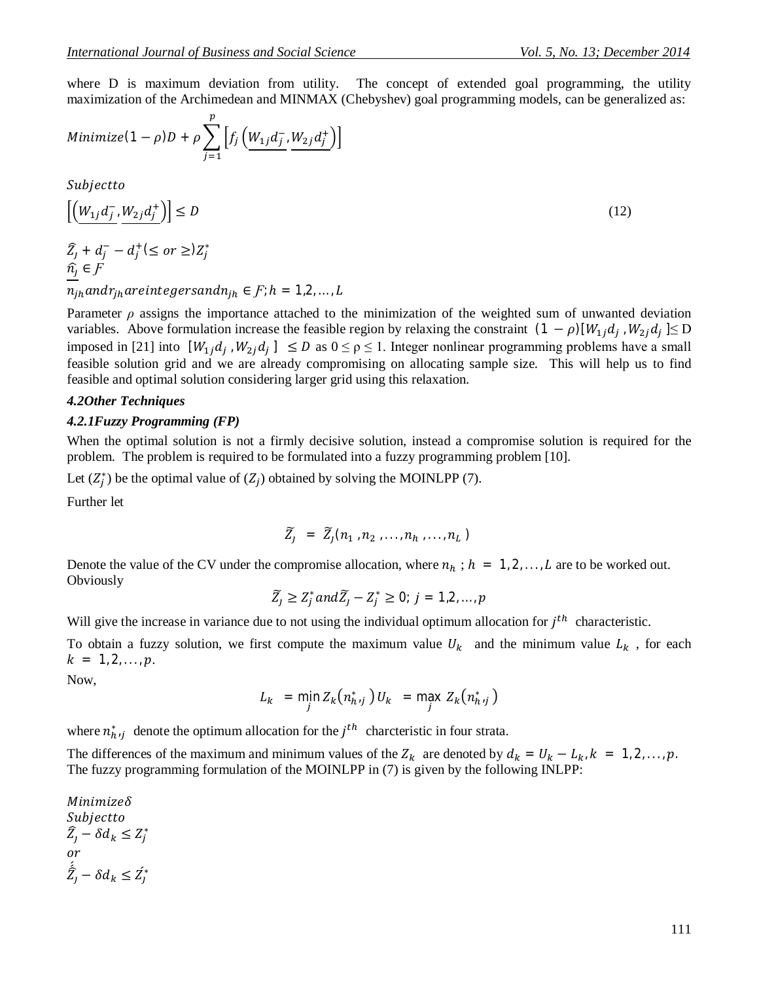where D is maximum deviation from utility. The concept of extended goal programming, the utility maximization of the Archimedean and MINMAX (Chebyshev) goal programming models, can be generalized as:

Minimize 
$$
(1 - \rho)D + \rho \sum_{j=1}^{p} \left[ f_j \left( \underline{W_{1j} d_{j}^{-}}, \underline{W_{2j} d_{j}^{+}} \right) \right]
$$

Subjectto

$$
\left[ \left( \underline{W}_{1j} \overline{d}_{j}^{-1} \underline{W}_{2j} \overline{d}_{j}^{+} \right) \right] \le D
$$
\n
$$
\widehat{Z}_{j} + \widehat{d}_{j}^{-} - \widehat{d}_{j}^{+} (\le or \ge) Z_{j}^{*}
$$
\n
$$
(12)
$$

$$
\frac{\hat{n}_j}{n} \in F
$$

 $n_{jh}$  and $r_{jh}$  are integers and  $n_{jh} \in F$ ;  $h = 1, 2, ..., L$ 

Parameter  $\rho$  assigns the importance attached to the minimization of the weighted sum of unwanted deviation variables. Above formulation increase the feasible region by relaxing the constraint  $(1 - \rho)[W_{1j}d_j, W_{2j}d_j] \le D$ imposed in [21] into  $[W_{1j}d_j, W_{2j}d_j] \leq D$  as  $0 \leq \rho \leq 1$ . Integer nonlinear programming problems have a small feasible solution grid and we are already compromising on allocating sample size. This will help us to find feasible and optimal solution considering larger grid using this relaxation.

### *4.2Other Techniques*

#### *4.2.1Fuzzy Programming (FP)*

When the optimal solution is not a firmly decisive solution, instead a compromise solution is required for the problem. The problem is required to be formulated into a fuzzy programming problem [10].

Let  $(Z_j^*)$  be the optimal value of  $(Z_j)$  obtained by solving the MOINLPP (7).

Further let

$$
\widetilde{Z}_j = \widetilde{Z}_j(n_1, n_2, \ldots, n_h, \ldots, n_L)
$$

Denote the value of the CV under the compromise allocation, where  $n_h$ ;  $h = 1, 2, ..., L$  are to be worked out. **Obviously** 

$$
\widetilde{Z}_j \geq Z_j^* and \widetilde{Z}_j - Z_j^* \geq 0; j = 1, 2, \dots, p
$$

Will give the increase in variance due to not using the individual optimum allocation for  $j<sup>th</sup>$  characteristic.

To obtain a fuzzy solution, we first compute the maximum value  $U_k$  and the minimum value  $L_k$ , for each  $k = 1, 2, \ldots, p.$ 

Now,

$$
L_k = \min_j Z_k(n_{h,j}^*) U_k = \max_j Z_k(n_{h,j}^*)
$$

where  $n_{h}^{*}$  denote the optimum allocation for the  $j^{th}$  charcteristic in four strata.

The differences of the maximum and minimum values of the  $Z_k$  are denoted by  $d_k = U_k - L_k$ ,  $k = 1, 2, ..., p$ . The fuzzy programming formulation of the MOINLPP in (7) is given by the following INLPP:

Minimizeδ Subjectto  $\widehat{Z}_j - \delta d_k \leq Z_j^*$ or  $\acute{\hat{Z}}_j - \delta d_k \leq \acute{Z}_j^*$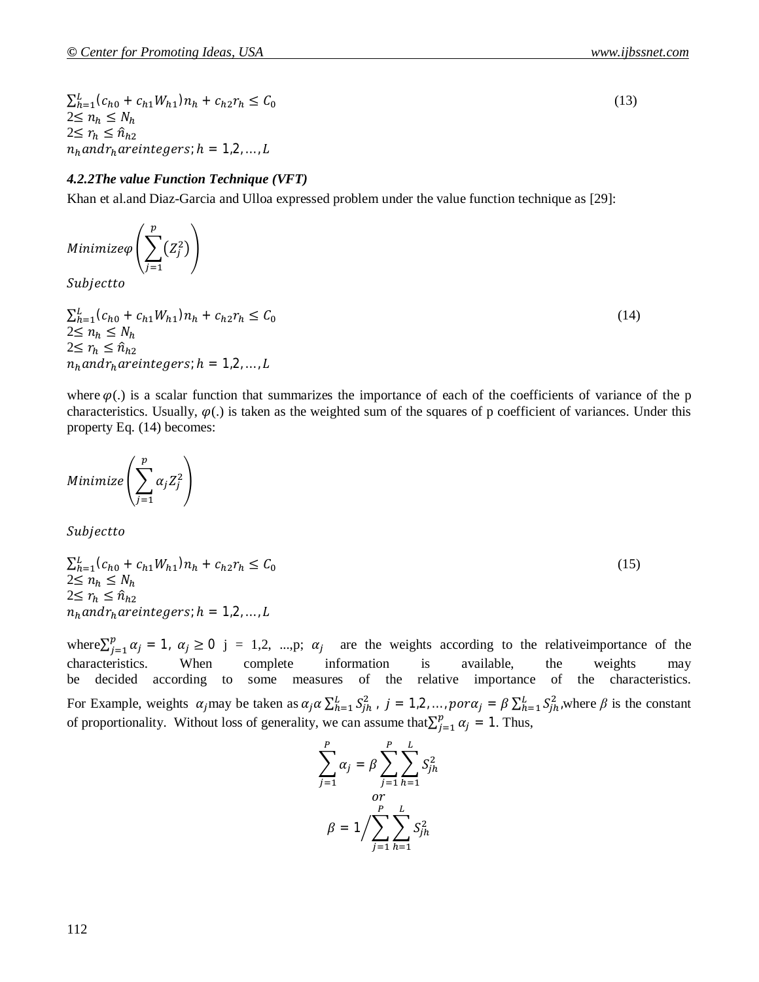$\sum_{h=1}^{L} (c_{h0} + c_{h1}W_{h1}) n_h + c_{h2}r_h \leq C_0$  $2 \leq n_h \leq N_h$ 2≤  $r_h$  ≤  $\hat{n}_{h2}$  $n_h$  and  $r_h$  are integers;  $h = 1,2,...,L$ 

## *4.2.2The value Function Technique (VFT)*

Khan et al.and Diaz-Garcia and Ulloa expressed problem under the value function technique as [29]:

Minimize $\varphi\left(\begin{array}{cc} \sum\limits_{j} (Z_j^2)\end{array}\right)$ p  $j=1$  $\overline{\phantom{a}}$ Subjectto

 $\sum_{h=1}^{L} (c_{h0} + c_{h1}W_{h1}) n_h + c_{h2}r_h \leq C_0$  (14)  $2 \leq n_h \leq N_h$  $2 \leq r_h \leq \hat{n}_{h2}$  $n_h$  and  $r_h$  are integers;  $h = 1,2,...,L$ 

where  $\varphi$ (.) is a scalar function that summarizes the importance of each of the coefficients of variance of the p characteristics. Usually,  $\varphi(.)$  is taken as the weighted sum of the squares of p coefficient of variances. Under this property Eq. (14) becomes:

Minimize $|\;\rangle\;$   $\alpha_j Z_j^2$ p  $j=1$ ቍ

Subjectto

$$
\sum_{h=1}^{L} (c_{h0} + c_{h1}W_{h1})n_h + c_{h2}r_h \le C_0
$$
  
2 \le n\_h \le N\_h  
2 \le r\_h \le \hat{n}\_{h2}  
n\_h and r\_h are integers; h = 1,2,...,L

where  $\sum_{j=1}^{p} \alpha_j = 1$ ,  $\alpha_j \geq 0$  $j_{j=1}^{p} \alpha_j = 1$ ,  $\alpha_j \ge 0$  j = 1,2, ...,p;  $\alpha_j$  are the weights according to the relative importance of the characteristics. When complete information is available, the weights may be decided according to some measures of the relative importance of the characteristics. For Example, weights  $\alpha_j$ may be taken as  $\alpha_j \alpha \sum_{h=1}^L S_{jh}^2$ ,  $j = 1, 2, ..., p$ or $\alpha_j = \beta \sum_{h=1}^L S_{jh}^2$ , where  $\beta$  is the constant of proportionality. Without loss of generality, we can assume that  $\sum_{i=1}^{p} \alpha_i = 1$  $_{j=1}^{\rho} \alpha_j = 1$ . Thus,

$$
\sum_{j=1}^{P} \alpha_j = \beta \sum_{j=1}^{P} \sum_{h=1}^{L} S_{jh}^2
$$

$$
\beta = 1 / \sum_{j=1}^{P} \sum_{h=1}^{L} S_{jh}^2
$$

(13)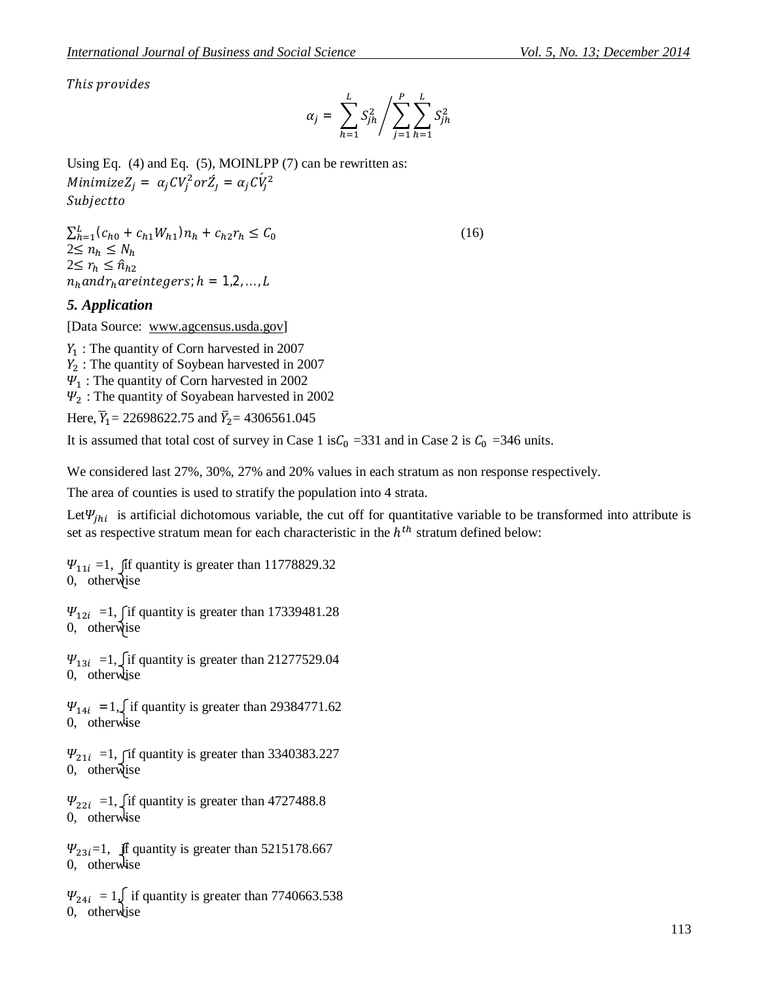This provides

$$
\alpha_j = \sum_{h=1}^{L} S_{jh}^2 / \sum_{j=1}^{P} \sum_{h=1}^{L} S_{jh}^2
$$

Using Eq.  $(4)$  and Eq.  $(5)$ , MOINLPP  $(7)$  can be rewritten as:  $Minimize Z_j = \alpha_j CV_j^2 or \acute{Z}_j = \alpha_j C \acute{V}_j^2$ Subjectto

 $\sum_{h=1}^{L} (c_{h0} + c_{h1}W_{h1}) n_h + c_{h2}r_h \leq C_0$  (16)  $2 \leq n_h \leq N_h$  $2{\leq r_h\leq \hat{n}_{h2}}$  $n_h$  and  $r_h$  are integers;  $h = 1,2,..., L$ 

# *5. Application*

[Data Source: www.agcensus.usda.gov]

 $Y_1$ : The quantity of Corn harvested in 2007  $Y_2$ : The quantity of Soybean harvested in 2007  $\Psi_1$ : The quantity of Corn harvested in 2002  $\Psi$ <sub>2</sub> : The quantity of Soyabean harvested in 2002

Here,  $\overline{Y}_1 = 22698622.75$  and  $\overline{Y}_2 = 4306561.045$ 

It is assumed that total cost of survey in Case 1 is  $C_0$  = 331 and in Case 2 is  $C_0$  = 346 units.

We considered last 27%, 30%, 27% and 20% values in each stratum as non response respectively.

The area of counties is used to stratify the population into 4 strata.

Let  $\Psi_{jhi}$  is artificial dichotomous variable, the cut off for quantitative variable to be transformed into attribute is set as respective stratum mean for each characteristic in the  $h^{th}$  stratum defined below:

 $\Psi_{11i} = 1$ , fif quantity is greater than 11778829.32 0, otherwise

 $\Psi_{12i}$  =1,  $\int$ if quantity is greater than 17339481.28 0, otherwise

 $\Psi_{13i}$  =1,  $\int$  if quantity is greater than 21277529.04 0, otherwise

 $\Psi_{14i}$  = 1, if quantity is greater than 29384771.62 0, otherwise

 $\Psi_{21i}$  =1, fif quantity is greater than 3340383.227 0, otherwise

 $\Psi_{22i}$  =1,  $\int$  if quantity is greater than 4727488.8 0, otherwise

 $\Psi_{23i}=1$ , if quantity is greater than 5215178.667 0, otherwise

 $\Psi_{24i} = 1$ , if quantity is greater than 7740663.538 0, otherwise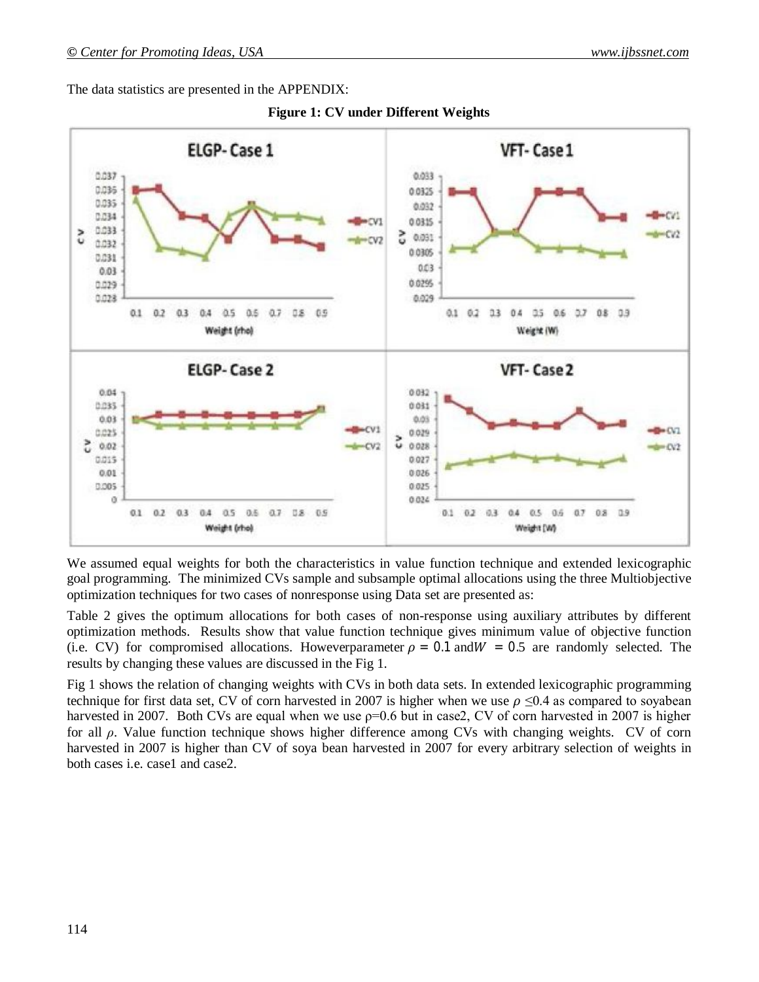The data statistics are presented in the APPENDIX:



**Figure 1: CV under Different Weights**

We assumed equal weights for both the characteristics in value function technique and extended lexicographic goal programming. The minimized CVs sample and subsample optimal allocations using the three Multiobjective optimization techniques for two cases of nonresponse using Data set are presented as:

Table 2 gives the optimum allocations for both cases of non-response using auxiliary attributes by different optimization methods. Results show that value function technique gives minimum value of objective function (i.e. CV) for compromised allocations. Howeverparameter  $\rho = 0.1$  and  $W = 0.5$  are randomly selected. The results by changing these values are discussed in the Fig 1.

Fig 1 shows the relation of changing weights with CVs in both data sets. In extended lexicographic programming technique for first data set, CV of corn harvested in 2007 is higher when we use  $\rho \le 0.4$  as compared to soyabean harvested in 2007. Both CVs are equal when we use  $p=0.6$  but in case2, CV of corn harvested in 2007 is higher for all *ρ*. Value function technique shows higher difference among CVs with changing weights. CV of corn harvested in 2007 is higher than CV of soya bean harvested in 2007 for every arbitrary selection of weights in both cases i.e. case1 and case2.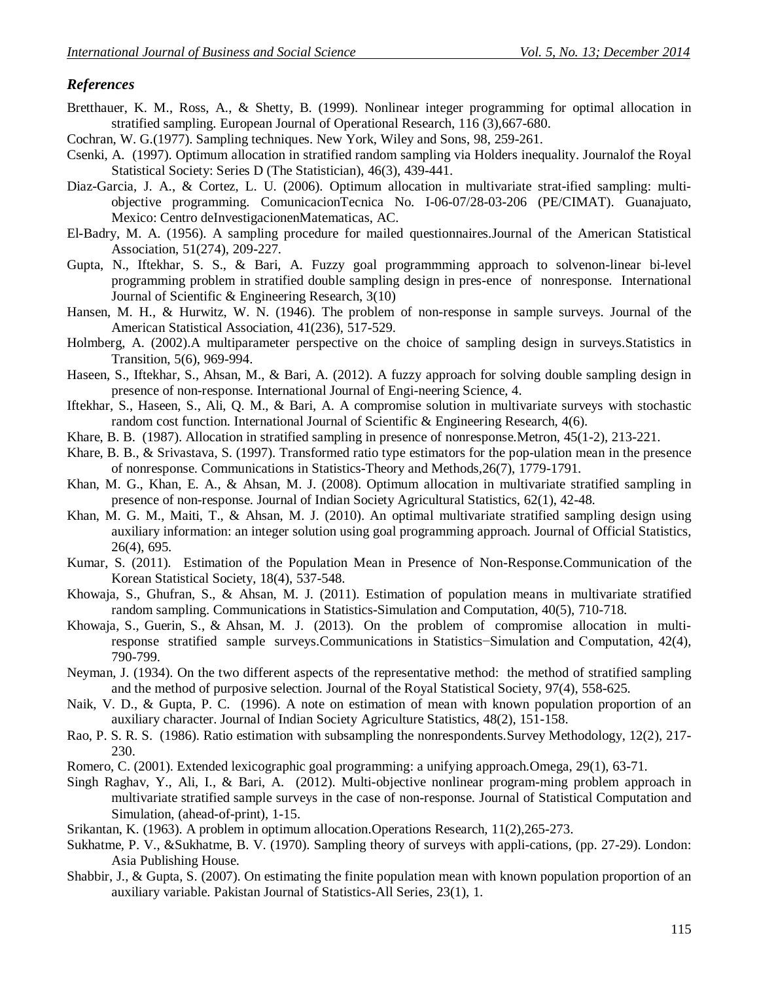# *References*

- Bretthauer, K. M., Ross, A., & Shetty, B. (1999). Nonlinear integer programming for optimal allocation in stratified sampling. European Journal of Operational Research, 116 (3),667-680.
- Cochran, W. G.(1977). Sampling techniques. New York, Wiley and Sons, 98, 259-261.
- Csenki, A. (1997). Optimum allocation in stratified random sampling via Holders inequality. Journalof the Royal Statistical Society: Series D (The Statistician), 46(3), 439-441.
- Diaz-Garcia, J. A., & Cortez, L. U. (2006). Optimum allocation in multivariate strat-ified sampling: multiobjective programming. ComunicacionTecnica No. I-06-07/28-03-206 (PE/CIMAT). Guanajuato, Mexico: Centro deInvestigacionenMatematicas, AC.
- El-Badry, M. A. (1956). A sampling procedure for mailed questionnaires.Journal of the American Statistical Association, 51(274), 209-227.
- Gupta, N., Iftekhar, S. S., & Bari, A. Fuzzy goal programmming approach to solvenon-linear bi-level programming problem in stratified double sampling design in pres-ence of nonresponse. International Journal of Scientific & Engineering Research, 3(10)
- Hansen, M. H., & Hurwitz, W. N. (1946). The problem of non-response in sample surveys. Journal of the American Statistical Association, 41(236), 517-529.
- Holmberg, A. (2002).A multiparameter perspective on the choice of sampling design in surveys.Statistics in Transition, 5(6), 969-994.
- Haseen, S., Iftekhar, S., Ahsan, M., & Bari, A. (2012). A fuzzy approach for solving double sampling design in presence of non-response. International Journal of Engi-neering Science, 4.
- Iftekhar, S., Haseen, S., Ali, Q. M., & Bari, A. A compromise solution in multivariate surveys with stochastic random cost function. International Journal of Scientific & Engineering Research, 4(6).
- Khare, B. B. (1987). Allocation in stratified sampling in presence of nonresponse.Metron, 45(1-2), 213-221.
- Khare, B. B., & Srivastava, S. (1997). Transformed ratio type estimators for the pop-ulation mean in the presence of nonresponse. Communications in Statistics-Theory and Methods,26(7), 1779-1791.
- Khan, M. G., Khan, E. A., & Ahsan, M. J. (2008). Optimum allocation in multivariate stratified sampling in presence of non-response. Journal of Indian Society Agricultural Statistics, 62(1), 42-48.
- Khan, M. G. M., Maiti, T., & Ahsan, M. J. (2010). An optimal multivariate stratified sampling design using auxiliary information: an integer solution using goal programming approach. Journal of Official Statistics, 26(4), 695.
- Kumar, S. (2011). Estimation of the Population Mean in Presence of Non-Response.Communication of the Korean Statistical Society, 18(4), 537-548.
- Khowaja, S., Ghufran, S., & Ahsan, M. J. (2011). Estimation of population means in multivariate stratified random sampling. Communications in Statistics-Simulation and Computation, 40(5), 710-718.
- Khowaja, S., Guerin, S., & Ahsan, M. J. (2013). On the problem of compromise allocation in multiresponse stratified sample surveys.Communications in Statistics−Simulation and Computation, 42(4), 790-799.
- Neyman, J. (1934). On the two different aspects of the representative method: the method of stratified sampling and the method of purposive selection. Journal of the Royal Statistical Society, 97(4), 558-625.
- Naik, V. D., & Gupta, P. C. (1996). A note on estimation of mean with known population proportion of an auxiliary character. Journal of Indian Society Agriculture Statistics, 48(2), 151-158.
- Rao, P. S. R. S. (1986). Ratio estimation with subsampling the nonrespondents.Survey Methodology, 12(2), 217- 230.
- Romero, C. (2001). Extended lexicographic goal programming: a unifying approach.Omega, 29(1), 63-71.
- Singh Raghav, Y., Ali, I., & Bari, A. (2012). Multi-objective nonlinear program-ming problem approach in multivariate stratified sample surveys in the case of non-response. Journal of Statistical Computation and Simulation, (ahead-of-print), 1-15.
- Srikantan, K. (1963). A problem in optimum allocation.Operations Research, 11(2),265-273.
- Sukhatme, P. V., &Sukhatme, B. V. (1970). Sampling theory of surveys with appli-cations, (pp. 27-29). London: Asia Publishing House.
- Shabbir, J., & Gupta, S. (2007). On estimating the finite population mean with known population proportion of an auxiliary variable. Pakistan Journal of Statistics-All Series, 23(1), 1.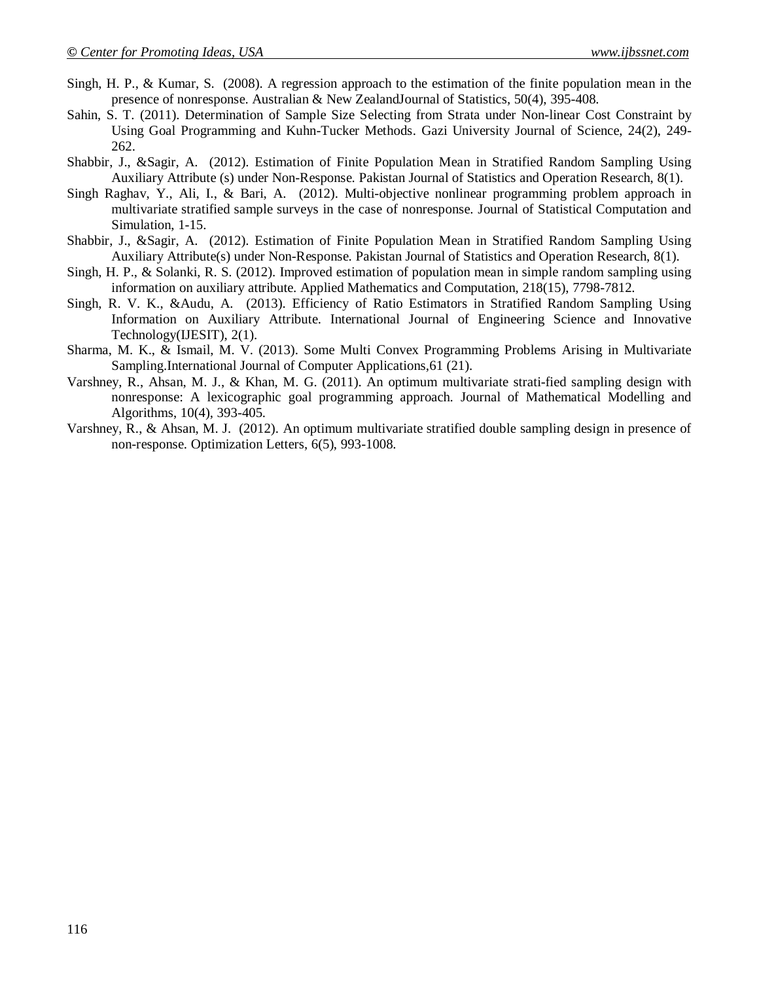- Singh, H. P., & Kumar, S. (2008). A regression approach to the estimation of the finite population mean in the presence of nonresponse. Australian & New ZealandJournal of Statistics, 50(4), 395-408.
- Sahin, S. T. (2011). Determination of Sample Size Selecting from Strata under Non-linear Cost Constraint by Using Goal Programming and Kuhn-Tucker Methods. Gazi University Journal of Science, 24(2), 249- 262.
- Shabbir, J., &Sagir, A. (2012). Estimation of Finite Population Mean in Stratified Random Sampling Using Auxiliary Attribute (s) under Non-Response. Pakistan Journal of Statistics and Operation Research, 8(1).
- Singh Raghav, Y., Ali, I., & Bari, A. (2012). Multi-objective nonlinear programming problem approach in multivariate stratified sample surveys in the case of nonresponse. Journal of Statistical Computation and Simulation, 1-15.
- Shabbir, J., &Sagir, A. (2012). Estimation of Finite Population Mean in Stratified Random Sampling Using Auxiliary Attribute(s) under Non-Response. Pakistan Journal of Statistics and Operation Research, 8(1).
- Singh, H. P., & Solanki, R. S. (2012). Improved estimation of population mean in simple random sampling using information on auxiliary attribute. Applied Mathematics and Computation, 218(15), 7798-7812.
- Singh, R. V. K., &Audu, A. (2013). Efficiency of Ratio Estimators in Stratified Random Sampling Using Information on Auxiliary Attribute. International Journal of Engineering Science and Innovative Technology(IJESIT), 2(1).
- Sharma, M. K., & Ismail, M. V. (2013). Some Multi Convex Programming Problems Arising in Multivariate Sampling.International Journal of Computer Applications,61 (21).
- Varshney, R., Ahsan, M. J., & Khan, M. G. (2011). An optimum multivariate strati-fied sampling design with nonresponse: A lexicographic goal programming approach. Journal of Mathematical Modelling and Algorithms, 10(4), 393-405.
- Varshney, R., & Ahsan, M. J. (2012). An optimum multivariate stratified double sampling design in presence of non-response. Optimization Letters, 6(5), 993-1008.